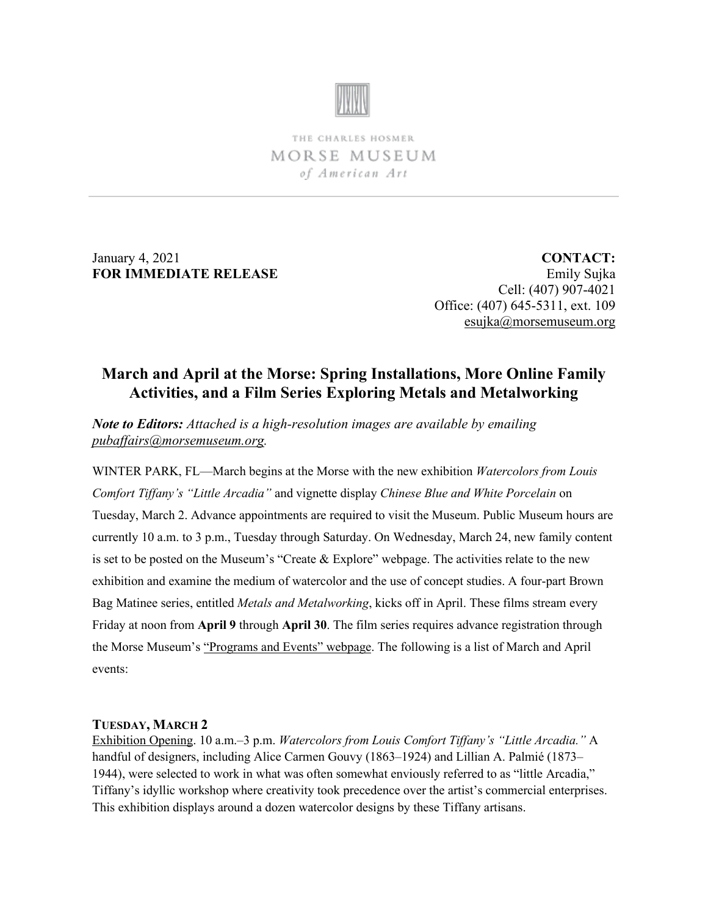

THE CHARLES HOSMER MORSE MUSEUM of American Art

January 4, 2021 **FOR IMMEDIATE RELEASE**

**CONTACT:** Emily Sujka Cell: (407) 907-4021 Office: (407) 645-5311, ext. 109 [esujka@morsemuseum.org](mailto:esujka@morsemuseum.org)

# **March and April at the Morse: Spring Installations, More Online Family Activities, and a Film Series Exploring Metals and Metalworking**

*Note to Editors: Attached is a high-resolution images are available by emailing [pubaffairs@morsemuseum.org.](mailto:pubaffairs@morsemuseum.org)*

WINTER PARK, FL—March begins at the Morse with the new exhibition *Watercolors from Louis Comfort Tiffany's "Little Arcadia"* and vignette display *Chinese Blue and White Porcelain* on Tuesday, March 2. Advance appointments are required to visit the Museum. Public Museum hours are currently 10 a.m. to 3 p.m., Tuesday through Saturday. On Wednesday, March 24, new family content is set to be posted on the Museum's "Create & Explore" webpage. The activities relate to the new exhibition and examine the medium of watercolor and the use of concept studies. A four-part Brown Bag Matinee series, entitled *Metals and Metalworking*, kicks off in April. These films stream every Friday at noon from **April 9** through **April 30**. The film series requires advance registration through the Morse Museum's ["Programs and Events" webpage.](https://www.morsemuseum.org/programs-events/friday-brown-bag-matinees) The following is a list of March and April events:

#### **TUESDAY, MARCH 2**

Exhibition Opening. 10 a.m.–3 p.m. *Watercolors from Louis Comfort Tiffany's "Little Arcadia."* A handful of designers, including Alice Carmen Gouvy (1863–1924) and Lillian A. Palmié (1873– 1944), were selected to work in what was often somewhat enviously referred to as "little Arcadia," Tiffany's idyllic workshop where creativity took precedence over the artist's commercial enterprises. This exhibition displays around a dozen watercolor designs by these Tiffany artisans.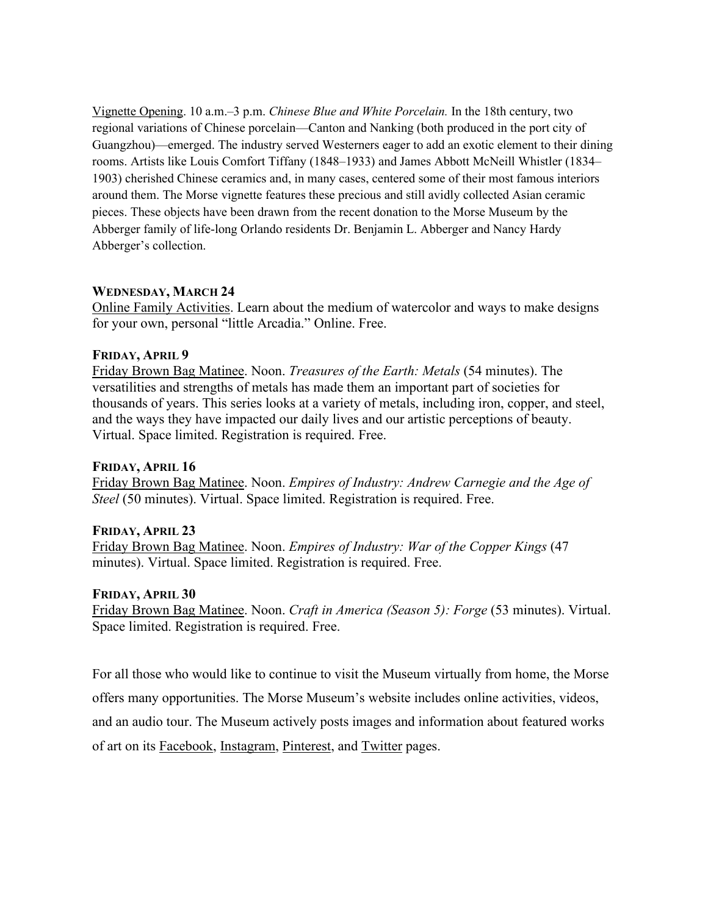Vignette Opening. 10 a.m.–3 p.m. *Chinese Blue and White Porcelain.* In the 18th century, two regional variations of Chinese porcelain—Canton and Nanking (both produced in the port city of Guangzhou)—emerged. The industry served Westerners eager to add an exotic element to their dining rooms. Artists like Louis Comfort Tiffany (1848–1933) and James Abbott McNeill Whistler (1834– 1903) cherished Chinese ceramics and, in many cases, centered some of their most famous interiors around them. The Morse vignette features these precious and still avidly collected Asian ceramic pieces. These objects have been drawn from the recent donation to the Morse Museum by the Abberger family of life-long Orlando residents Dr. Benjamin L. Abberger and Nancy Hardy Abberger's collection.

### **WEDNESDAY, MARCH 24**

Online Family Activities. Learn about the medium of watercolor and ways to make designs for your own, personal "little Arcadia." Online. Free.

### **FRIDAY, APRIL 9**

Friday Brown Bag Matinee. Noon. *Treasures of the Earth: Metals* (54 minutes). The versatilities and strengths of metals has made them an important part of societies for thousands of years. This series looks at a variety of metals, including iron, copper, and steel, and the ways they have impacted our daily lives and our artistic perceptions of beauty. Virtual. Space limited. Registration is required. Free.

## **FRIDAY, APRIL 16**

Friday Brown Bag Matinee. Noon. *Empires of Industry: Andrew Carnegie and the Age of Steel* (50 minutes). Virtual. Space limited. Registration is required. Free.

## **FRIDAY, APRIL 23**

Friday Brown Bag Matinee. Noon. *Empires of Industry: War of the Copper Kings* (47 minutes). Virtual. Space limited. Registration is required. Free.

## **FRIDAY, APRIL 30**

Friday Brown Bag Matinee. Noon. *Craft in America (Season 5): Forge* (53 minutes). Virtual. Space limited. Registration is required. Free.

For all those who would like to continue to visit the Museum virtually from home, the Morse offers many opportunities. The Morse Museum's website includes online activities, videos, and an audio tour. The Museum actively posts images and information about featured works of art on its [Facebook,](https://www.facebook.com/morsemuseum/) [Instagram,](https://www.instagram.com/morsemuseum/) [Pinterest,](https://www.pinterest.com/morsemuseum/) and [Twitter](https://twitter.com/MorseMuseum?ref_src=twsrc%255Egoogle%257Ctwcamp%255Eserp%257Ctwgr%255Eauthor) pages.